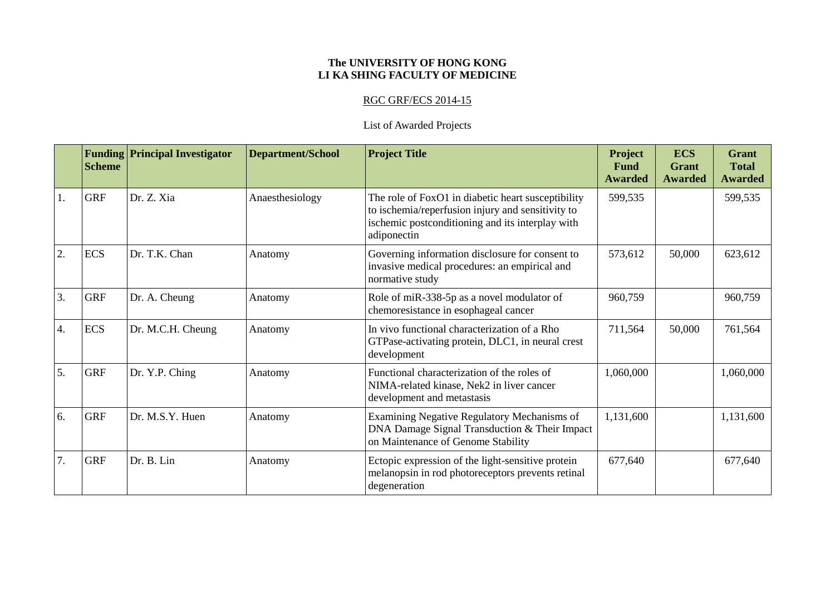## **The UNIVERSITY OF HONG KONG LI KA SHING FACULTY OF MEDICINE**

## RGC GRF/ECS 2014-15

## List of Awarded Projects

|                  | <b>Scheme</b> | <b>Funding Principal Investigator</b> | <b>Department/School</b> | <b>Project Title</b>                                                                                                                                                       | Project<br><b>Fund</b><br><b>Awarded</b> | <b>ECS</b><br>Grant<br><b>Awarded</b> | <b>Grant</b><br><b>Total</b><br><b>Awarded</b> |
|------------------|---------------|---------------------------------------|--------------------------|----------------------------------------------------------------------------------------------------------------------------------------------------------------------------|------------------------------------------|---------------------------------------|------------------------------------------------|
| 1.               | <b>GRF</b>    | Dr. Z. Xia                            | Anaesthesiology          | The role of FoxO1 in diabetic heart susceptibility<br>to ischemia/reperfusion injury and sensitivity to<br>ischemic postconditioning and its interplay with<br>adiponectin | 599,535                                  |                                       | 599,535                                        |
| 2.               | <b>ECS</b>    | Dr. T.K. Chan                         | Anatomy                  | Governing information disclosure for consent to<br>invasive medical procedures: an empirical and<br>normative study                                                        | 573,612                                  | 50,000                                | 623,612                                        |
| 3.               | <b>GRF</b>    | Dr. A. Cheung                         | Anatomy                  | Role of miR-338-5p as a novel modulator of<br>chemoresistance in esophageal cancer                                                                                         | 960,759                                  |                                       | 960,759                                        |
| $\overline{4}$ . | <b>ECS</b>    | Dr. M.C.H. Cheung                     | Anatomy                  | In vivo functional characterization of a Rho<br>GTPase-activating protein, DLC1, in neural crest<br>development                                                            | 711,564                                  | 50,000                                | 761,564                                        |
| 5.               | <b>GRF</b>    | Dr. Y.P. Ching                        | Anatomy                  | Functional characterization of the roles of<br>NIMA-related kinase, Nek2 in liver cancer<br>development and metastasis                                                     | 1,060,000                                |                                       | 1,060,000                                      |
| 6.               | <b>GRF</b>    | Dr. M.S.Y. Huen                       | Anatomy                  | Examining Negative Regulatory Mechanisms of<br>DNA Damage Signal Transduction & Their Impact<br>on Maintenance of Genome Stability                                         | 1,131,600                                |                                       | 1,131,600                                      |
| 7.               | <b>GRF</b>    | Dr. B. Lin                            | Anatomy                  | Ectopic expression of the light-sensitive protein<br>melanopsin in rod photoreceptors prevents retinal<br>degeneration                                                     | 677,640                                  |                                       | 677,640                                        |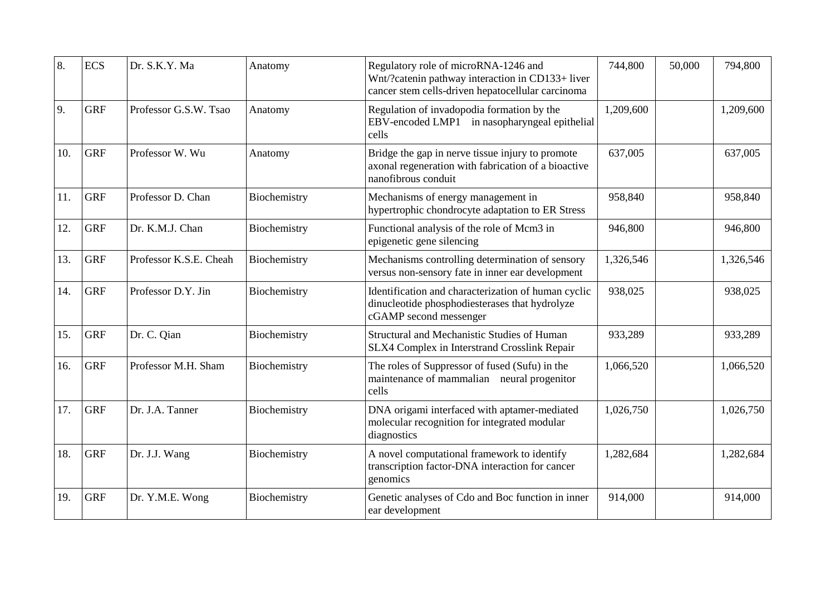| 8.  | <b>ECS</b> | Dr. S.K.Y. Ma          | Anatomy      | Regulatory role of microRNA-1246 and<br>Wnt/?catenin pathway interaction in CD133+ liver<br>cancer stem cells-driven hepatocellular carcinoma | 744,800   | 50,000 | 794,800   |
|-----|------------|------------------------|--------------|-----------------------------------------------------------------------------------------------------------------------------------------------|-----------|--------|-----------|
| 9.  | <b>GRF</b> | Professor G.S.W. Tsao  | Anatomy      | Regulation of invadopodia formation by the<br>EBV-encoded LMP1 in nasopharyngeal epithelial<br>cells                                          | 1,209,600 |        | 1,209,600 |
| 10. | <b>GRF</b> | Professor W. Wu        | Anatomy      | Bridge the gap in nerve tissue injury to promote<br>axonal regeneration with fabrication of a bioactive<br>nanofibrous conduit                | 637,005   |        | 637,005   |
| 11. | <b>GRF</b> | Professor D. Chan      | Biochemistry | Mechanisms of energy management in<br>hypertrophic chondrocyte adaptation to ER Stress                                                        | 958,840   |        | 958,840   |
| 12. | <b>GRF</b> | Dr. K.M.J. Chan        | Biochemistry | Functional analysis of the role of Mcm3 in<br>epigenetic gene silencing                                                                       | 946,800   |        | 946,800   |
| 13. | <b>GRF</b> | Professor K.S.E. Cheah | Biochemistry | Mechanisms controlling determination of sensory<br>versus non-sensory fate in inner ear development                                           | 1,326,546 |        | 1,326,546 |
| 14. | <b>GRF</b> | Professor D.Y. Jin     | Biochemistry | Identification and characterization of human cyclic<br>dinucleotide phosphodiesterases that hydrolyze<br>cGAMP second messenger               | 938,025   |        | 938,025   |
| 15. | <b>GRF</b> | Dr. C. Qian            | Biochemistry | Structural and Mechanistic Studies of Human<br>SLX4 Complex in Interstrand Crosslink Repair                                                   | 933,289   |        | 933,289   |
| 16. | <b>GRF</b> | Professor M.H. Sham    | Biochemistry | The roles of Suppressor of fused (Sufu) in the<br>maintenance of mammalian neural progenitor<br>cells                                         | 1,066,520 |        | 1,066,520 |
| 17. | <b>GRF</b> | Dr. J.A. Tanner        | Biochemistry | DNA origami interfaced with aptamer-mediated<br>molecular recognition for integrated modular<br>diagnostics                                   | 1,026,750 |        | 1,026,750 |
| 18. | <b>GRF</b> | Dr. J.J. Wang          | Biochemistry | A novel computational framework to identify<br>transcription factor-DNA interaction for cancer<br>genomics                                    | 1,282,684 |        | 1,282,684 |
| 19. | <b>GRF</b> | Dr. Y.M.E. Wong        | Biochemistry | Genetic analyses of Cdo and Boc function in inner<br>ear development                                                                          | 914,000   |        | 914,000   |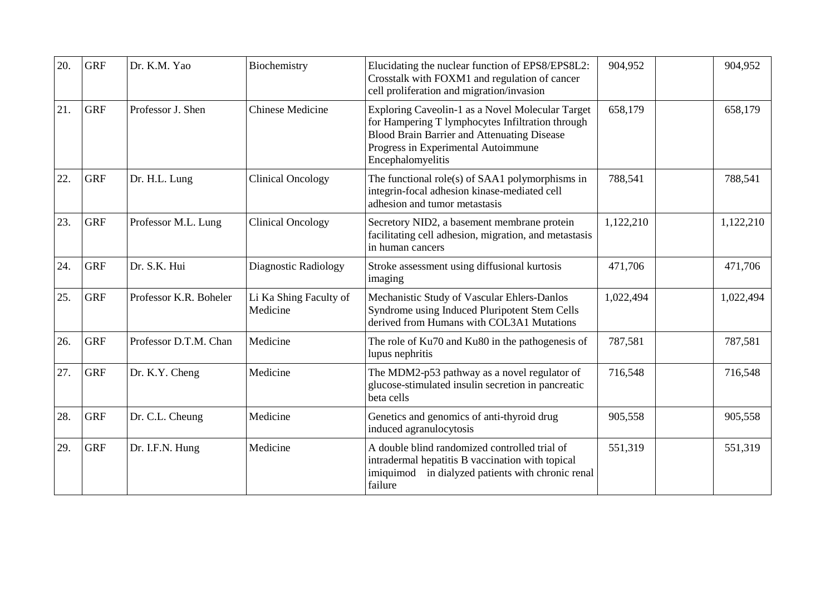| 20. | <b>GRF</b> | Dr. K.M. Yao           | Biochemistry                       | Elucidating the nuclear function of EPS8/EPS8L2:<br>Crosstalk with FOXM1 and regulation of cancer<br>cell proliferation and migration/invasion                                                                         | 904,952   | 904,952   |
|-----|------------|------------------------|------------------------------------|------------------------------------------------------------------------------------------------------------------------------------------------------------------------------------------------------------------------|-----------|-----------|
| 21. | <b>GRF</b> | Professor J. Shen      | <b>Chinese Medicine</b>            | Exploring Caveolin-1 as a Novel Molecular Target<br>for Hampering T lymphocytes Infiltration through<br><b>Blood Brain Barrier and Attenuating Disease</b><br>Progress in Experimental Autoimmune<br>Encephalomyelitis | 658,179   | 658,179   |
| 22. | <b>GRF</b> | Dr. H.L. Lung          | <b>Clinical Oncology</b>           | The functional role(s) of $SAA1$ polymorphisms in<br>integrin-focal adhesion kinase-mediated cell<br>adhesion and tumor metastasis                                                                                     | 788,541   | 788,541   |
| 23. | <b>GRF</b> | Professor M.L. Lung    | <b>Clinical Oncology</b>           | Secretory NID2, a basement membrane protein<br>facilitating cell adhesion, migration, and metastasis<br>in human cancers                                                                                               | 1,122,210 | 1,122,210 |
| 24. | <b>GRF</b> | Dr. S.K. Hui           | Diagnostic Radiology               | Stroke assessment using diffusional kurtosis<br>imaging                                                                                                                                                                | 471,706   | 471,706   |
| 25. | <b>GRF</b> | Professor K.R. Boheler | Li Ka Shing Faculty of<br>Medicine | Mechanistic Study of Vascular Ehlers-Danlos<br>Syndrome using Induced Pluripotent Stem Cells<br>derived from Humans with COL3A1 Mutations                                                                              | 1,022,494 | 1,022,494 |
| 26. | <b>GRF</b> | Professor D.T.M. Chan  | Medicine                           | The role of Ku70 and Ku80 in the pathogenesis of<br>lupus nephritis                                                                                                                                                    | 787,581   | 787,581   |
| 27. | <b>GRF</b> | Dr. K.Y. Cheng         | Medicine                           | The MDM2-p53 pathway as a novel regulator of<br>glucose-stimulated insulin secretion in pancreatic<br>beta cells                                                                                                       | 716,548   | 716,548   |
| 28. | <b>GRF</b> | Dr. C.L. Cheung        | Medicine                           | Genetics and genomics of anti-thyroid drug<br>induced agranulocytosis                                                                                                                                                  | 905,558   | 905,558   |
| 29. | <b>GRF</b> | Dr. I.F.N. Hung        | Medicine                           | A double blind randomized controlled trial of<br>intradermal hepatitis B vaccination with topical<br>in dialyzed patients with chronic renal<br>imiquimod<br>failure                                                   | 551,319   | 551,319   |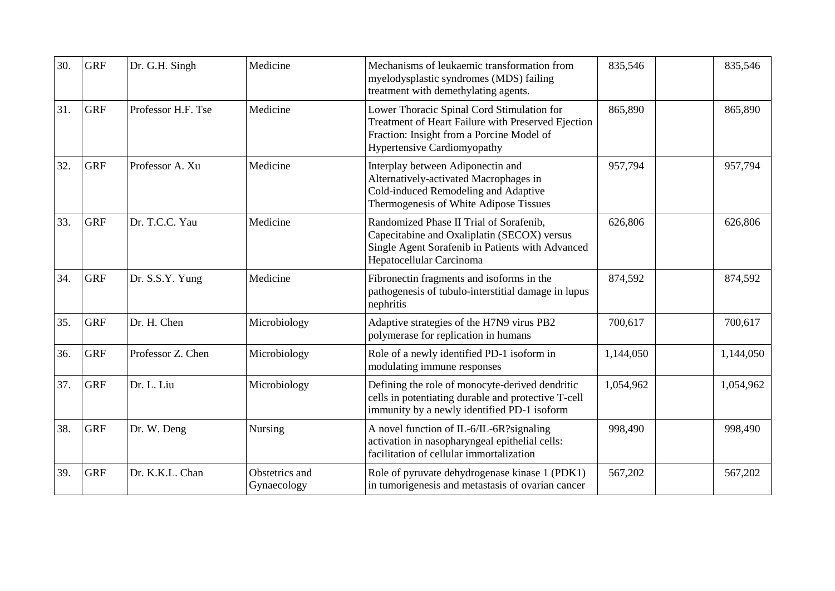| 30. | <b>GRF</b> | Dr. G.H. Singh     | Medicine                      | Mechanisms of leukaemic transformation from<br>myelodysplastic syndromes (MDS) failing<br>treatment with demethylating agents.                                                      | 835,546   | 835,546   |
|-----|------------|--------------------|-------------------------------|-------------------------------------------------------------------------------------------------------------------------------------------------------------------------------------|-----------|-----------|
| 31. | <b>GRF</b> | Professor H.F. Tse | Medicine                      | Lower Thoracic Spinal Cord Stimulation for<br>Treatment of Heart Failure with Preserved Ejection<br>Fraction: Insight from a Porcine Model of<br><b>Hypertensive Cardiomyopathy</b> | 865,890   | 865,890   |
| 32. | <b>GRF</b> | Professor A. Xu    | Medicine                      | Interplay between Adiponectin and<br>Alternatively-activated Macrophages in<br>Cold-induced Remodeling and Adaptive<br>Thermogenesis of White Adipose Tissues                       | 957,794   | 957,794   |
| 33. | <b>GRF</b> | Dr. T.C.C. Yau     | Medicine                      | Randomized Phase II Trial of Sorafenib,<br>Capecitabine and Oxaliplatin (SECOX) versus<br>Single Agent Sorafenib in Patients with Advanced<br>Hepatocellular Carcinoma              | 626,806   | 626,806   |
| 34. | <b>GRF</b> | Dr. S.S.Y. Yung    | Medicine                      | Fibronectin fragments and isoforms in the<br>pathogenesis of tubulo-interstitial damage in lupus<br>nephritis                                                                       | 874,592   | 874,592   |
| 35. | <b>GRF</b> | Dr. H. Chen        | Microbiology                  | Adaptive strategies of the H7N9 virus PB2<br>polymerase for replication in humans                                                                                                   | 700,617   | 700,617   |
| 36. | <b>GRF</b> | Professor Z. Chen  | Microbiology                  | Role of a newly identified PD-1 isoform in<br>modulating immune responses                                                                                                           | 1,144,050 | 1,144,050 |
| 37. | <b>GRF</b> | Dr. L. Liu         | Microbiology                  | Defining the role of monocyte-derived dendritic<br>cells in potentiating durable and protective T-cell<br>immunity by a newly identified PD-1 isoform                               | 1,054,962 | 1,054,962 |
| 38. | <b>GRF</b> | Dr. W. Deng        | Nursing                       | A novel function of IL-6/IL-6R?signaling<br>activation in nasopharyngeal epithelial cells:<br>facilitation of cellular immortalization                                              | 998,490   | 998,490   |
| 39. | <b>GRF</b> | Dr. K.K.L. Chan    | Obstetrics and<br>Gynaecology | Role of pyruvate dehydrogenase kinase 1 (PDK1)<br>in tumorigenesis and metastasis of ovarian cancer                                                                                 | 567,202   | 567,202   |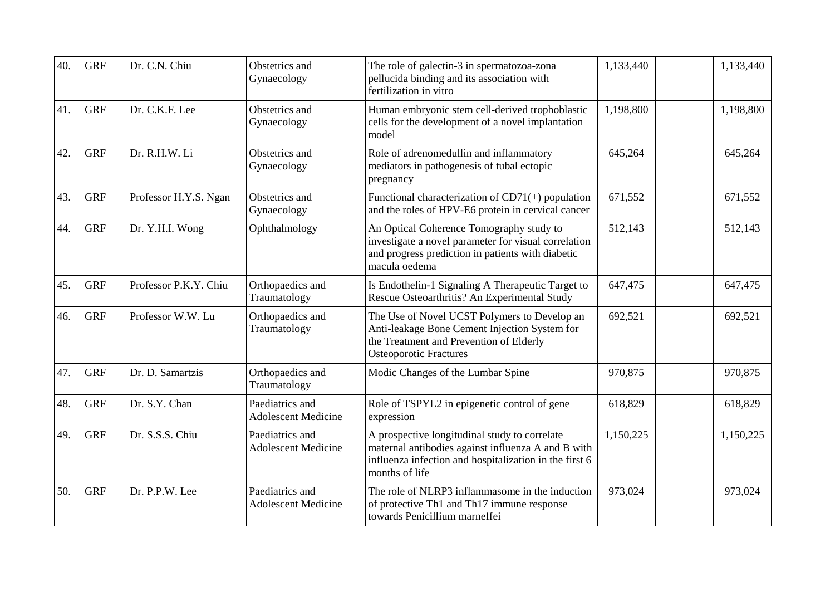| 40. | <b>GRF</b> | Dr. C.N. Chiu         | Obstetrics and<br>Gynaecology                 | The role of galectin-3 in spermatozoa-zona<br>pellucida binding and its association with<br>fertilization in vitro                                                              | 1,133,440 | 1,133,440 |
|-----|------------|-----------------------|-----------------------------------------------|---------------------------------------------------------------------------------------------------------------------------------------------------------------------------------|-----------|-----------|
| 41. | <b>GRF</b> | Dr. C.K.F. Lee        | Obstetrics and<br>Gynaecology                 | Human embryonic stem cell-derived trophoblastic<br>cells for the development of a novel implantation<br>model                                                                   | 1,198,800 | 1,198,800 |
| 42. | <b>GRF</b> | Dr. R.H.W. Li         | Obstetrics and<br>Gynaecology                 | Role of adrenomedullin and inflammatory<br>mediators in pathogenesis of tubal ectopic<br>pregnancy                                                                              | 645,264   | 645,264   |
| 43. | <b>GRF</b> | Professor H.Y.S. Ngan | Obstetrics and<br>Gynaecology                 | Functional characterization of $CD71(+)$ population<br>and the roles of HPV-E6 protein in cervical cancer                                                                       | 671,552   | 671,552   |
| 44. | <b>GRF</b> | Dr. Y.H.I. Wong       | Ophthalmology                                 | An Optical Coherence Tomography study to<br>investigate a novel parameter for visual correlation<br>and progress prediction in patients with diabetic<br>macula oedema          | 512,143   | 512,143   |
| 45. | <b>GRF</b> | Professor P.K.Y. Chiu | Orthopaedics and<br>Traumatology              | Is Endothelin-1 Signaling A Therapeutic Target to<br>Rescue Osteoarthritis? An Experimental Study                                                                               | 647,475   | 647,475   |
| 46. | <b>GRF</b> | Professor W.W. Lu     | Orthopaedics and<br>Traumatology              | The Use of Novel UCST Polymers to Develop an<br>Anti-leakage Bone Cement Injection System for<br>the Treatment and Prevention of Elderly<br><b>Osteoporotic Fractures</b>       | 692,521   | 692,521   |
| 47. | <b>GRF</b> | Dr. D. Samartzis      | Orthopaedics and<br>Traumatology              | Modic Changes of the Lumbar Spine                                                                                                                                               | 970,875   | 970,875   |
| 48. | <b>GRF</b> | Dr. S.Y. Chan         | Paediatrics and<br><b>Adolescent Medicine</b> | Role of TSPYL2 in epigenetic control of gene<br>expression                                                                                                                      | 618,829   | 618,829   |
| 49. | <b>GRF</b> | Dr. S.S.S. Chiu       | Paediatrics and<br><b>Adolescent Medicine</b> | A prospective longitudinal study to correlate<br>maternal antibodies against influenza A and B with<br>influenza infection and hospitalization in the first 6<br>months of life | 1,150,225 | 1,150,225 |
| 50. | <b>GRF</b> | Dr. P.P.W. Lee        | Paediatrics and<br><b>Adolescent Medicine</b> | The role of NLRP3 inflammasome in the induction<br>of protective Th1 and Th17 immune response<br>towards Penicillium marneffei                                                  | 973,024   | 973,024   |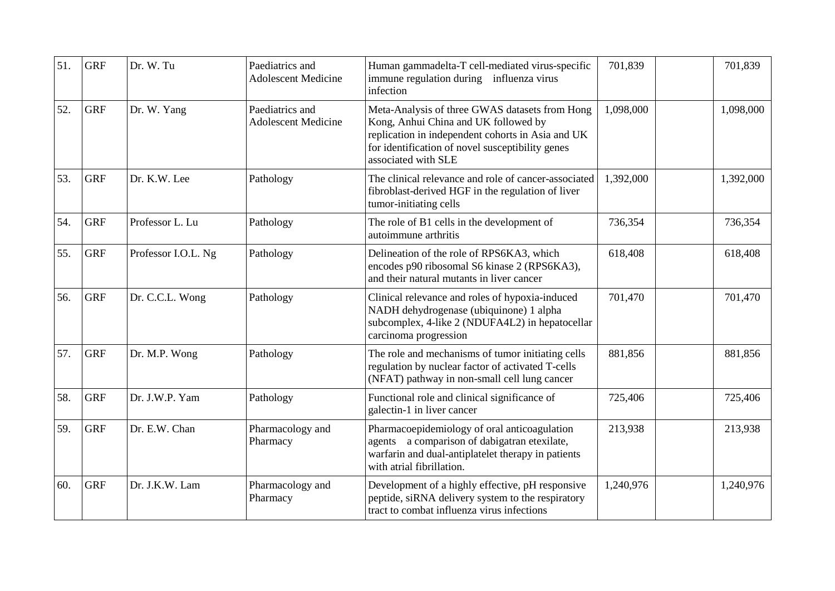| 51. | <b>GRF</b> | Dr. W. Tu           | Paediatrics and<br><b>Adolescent Medicine</b> | Human gammadelta-T cell-mediated virus-specific<br>immune regulation during influenza virus<br>infection                                                                                                               | 701,839   | 701,839   |
|-----|------------|---------------------|-----------------------------------------------|------------------------------------------------------------------------------------------------------------------------------------------------------------------------------------------------------------------------|-----------|-----------|
| 52. | <b>GRF</b> | Dr. W. Yang         | Paediatrics and<br><b>Adolescent Medicine</b> | Meta-Analysis of three GWAS datasets from Hong<br>Kong, Anhui China and UK followed by<br>replication in independent cohorts in Asia and UK<br>for identification of novel susceptibility genes<br>associated with SLE | 1,098,000 | 1,098,000 |
| 53. | <b>GRF</b> | Dr. K.W. Lee        | Pathology                                     | The clinical relevance and role of cancer-associated<br>fibroblast-derived HGF in the regulation of liver<br>tumor-initiating cells                                                                                    | 1,392,000 | 1,392,000 |
| 54. | <b>GRF</b> | Professor L. Lu     | Pathology                                     | The role of B1 cells in the development of<br>autoimmune arthritis                                                                                                                                                     | 736,354   | 736,354   |
| 55. | <b>GRF</b> | Professor I.O.L. Ng | Pathology                                     | Delineation of the role of RPS6KA3, which<br>encodes p90 ribosomal S6 kinase 2 (RPS6KA3),<br>and their natural mutants in liver cancer                                                                                 | 618,408   | 618,408   |
| 56. | <b>GRF</b> | Dr. C.C.L. Wong     | Pathology                                     | Clinical relevance and roles of hypoxia-induced<br>NADH dehydrogenase (ubiquinone) 1 alpha<br>subcomplex, 4-like 2 (NDUFA4L2) in hepatocellar<br>carcinoma progression                                                 | 701,470   | 701,470   |
| 57. | <b>GRF</b> | Dr. M.P. Wong       | Pathology                                     | The role and mechanisms of tumor initiating cells<br>regulation by nuclear factor of activated T-cells<br>(NFAT) pathway in non-small cell lung cancer                                                                 | 881,856   | 881,856   |
| 58. | <b>GRF</b> | Dr. J.W.P. Yam      | Pathology                                     | Functional role and clinical significance of<br>galectin-1 in liver cancer                                                                                                                                             | 725,406   | 725,406   |
| 59. | <b>GRF</b> | Dr. E.W. Chan       | Pharmacology and<br>Pharmacy                  | Pharmacoepidemiology of oral anticoagulation<br>agents a comparison of dabigatran etexilate,<br>warfarin and dual-antiplatelet therapy in patients<br>with atrial fibrillation.                                        | 213,938   | 213,938   |
| 60. | <b>GRF</b> | Dr. J.K.W. Lam      | Pharmacology and<br>Pharmacy                  | Development of a highly effective, pH responsive<br>peptide, siRNA delivery system to the respiratory<br>tract to combat influenza virus infections                                                                    | 1,240,976 | 1,240,976 |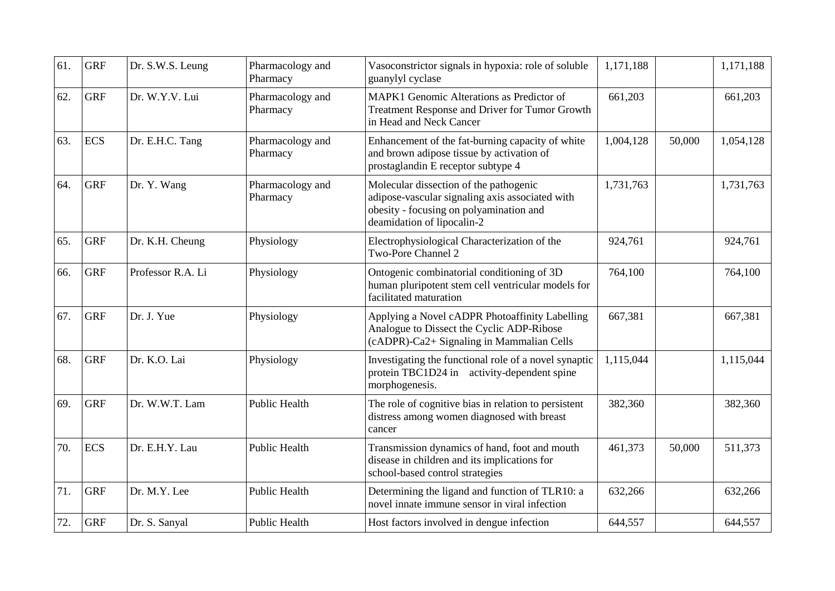| 61. | <b>GRF</b> | Dr. S.W.S. Leung  | Pharmacology and<br>Pharmacy | Vasoconstrictor signals in hypoxia: role of soluble<br>guanylyl cyclase                                                                                            | 1,171,188 |        | 1,171,188 |
|-----|------------|-------------------|------------------------------|--------------------------------------------------------------------------------------------------------------------------------------------------------------------|-----------|--------|-----------|
| 62. | <b>GRF</b> | Dr. W.Y.V. Lui    | Pharmacology and<br>Pharmacy | MAPK1 Genomic Alterations as Predictor of<br>Treatment Response and Driver for Tumor Growth<br>in Head and Neck Cancer                                             | 661,203   |        | 661,203   |
| 63. | <b>ECS</b> | Dr. E.H.C. Tang   | Pharmacology and<br>Pharmacy | Enhancement of the fat-burning capacity of white<br>and brown adipose tissue by activation of<br>prostaglandin E receptor subtype 4                                | 1,004,128 | 50,000 | 1,054,128 |
| 64. | <b>GRF</b> | Dr. Y. Wang       | Pharmacology and<br>Pharmacy | Molecular dissection of the pathogenic<br>adipose-vascular signaling axis associated with<br>obesity - focusing on polyamination and<br>deamidation of lipocalin-2 | 1,731,763 |        | 1,731,763 |
| 65. | <b>GRF</b> | Dr. K.H. Cheung   | Physiology                   | Electrophysiological Characterization of the<br>Two-Pore Channel 2                                                                                                 | 924,761   |        | 924,761   |
| 66. | <b>GRF</b> | Professor R.A. Li | Physiology                   | Ontogenic combinatorial conditioning of 3D<br>human pluripotent stem cell ventricular models for<br>facilitated maturation                                         | 764,100   |        | 764,100   |
| 67. | <b>GRF</b> | Dr. J. Yue        | Physiology                   | Applying a Novel cADPR Photoaffinity Labelling<br>Analogue to Dissect the Cyclic ADP-Ribose<br>(cADPR)-Ca2+ Signaling in Mammalian Cells                           | 667,381   |        | 667,381   |
| 68. | <b>GRF</b> | Dr. K.O. Lai      | Physiology                   | Investigating the functional role of a novel synaptic<br>protein TBC1D24 in activity-dependent spine<br>morphogenesis.                                             | 1,115,044 |        | 1,115,044 |
| 69. | <b>GRF</b> | Dr. W.W.T. Lam    | <b>Public Health</b>         | The role of cognitive bias in relation to persistent<br>distress among women diagnosed with breast<br>cancer                                                       | 382,360   |        | 382,360   |
| 70. | <b>ECS</b> | Dr. E.H.Y. Lau    | <b>Public Health</b>         | Transmission dynamics of hand, foot and mouth<br>disease in children and its implications for<br>school-based control strategies                                   | 461,373   | 50,000 | 511,373   |
| 71. | <b>GRF</b> | Dr. M.Y. Lee      | <b>Public Health</b>         | Determining the ligand and function of TLR10: a<br>novel innate immune sensor in viral infection                                                                   | 632,266   |        | 632,266   |
| 72. | <b>GRF</b> | Dr. S. Sanyal     | Public Health                | Host factors involved in dengue infection                                                                                                                          | 644,557   |        | 644,557   |